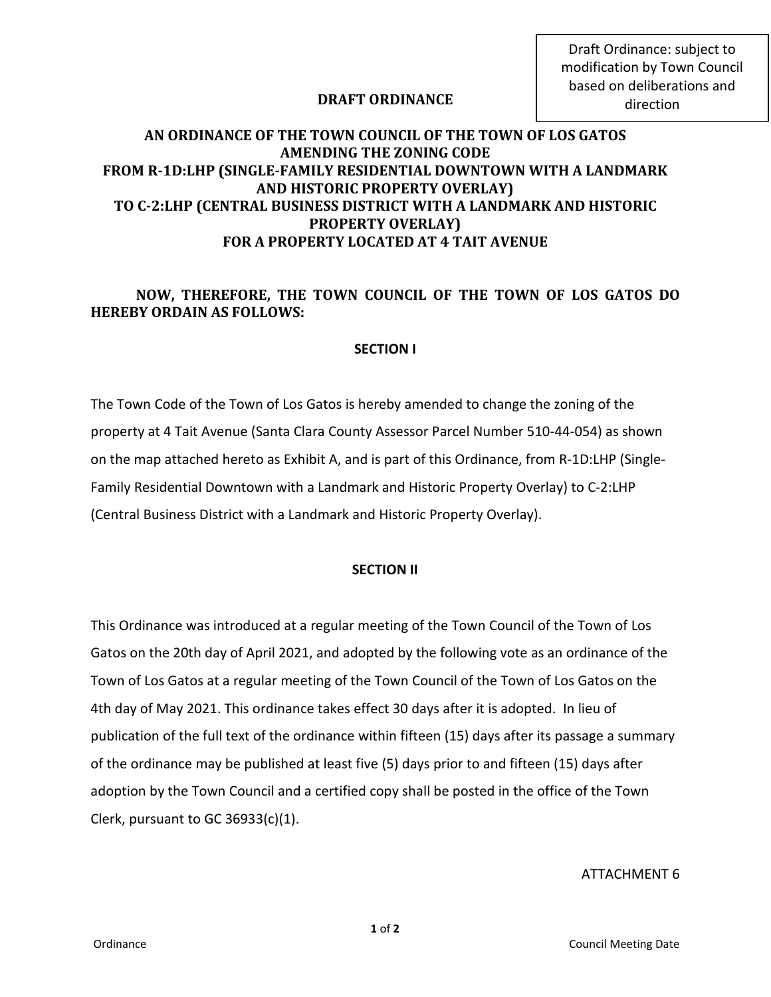Draft Ordinance: subject to modification by Town Council based on deliberations and direction

# **DRAFT ORDINANCE**

# **AN ORDINANCE OF THE TOWN COUNCIL OF THE TOWN OF LOS GATOS AMENDING THE ZONING CODE FROM R-1D:LHP (SINGLE-FAMILY RESIDENTIAL DOWNTOWN WITH A LANDMARK AND HISTORIC PROPERTY OVERLAY) TO C-2:LHP (CENTRAL BUSINESS DISTRICT WITH A LANDMARK AND HISTORIC PROPERTY OVERLAY) FOR A PROPERTY LOCATED AT 4 TAIT AVENUE**

# **NOW, THEREFORE, THE TOWN COUNCIL OF THE TOWN OF LOS GATOS DO HEREBY ORDAIN AS FOLLOWS:**

## **SECTION I**

The Town Code of the Town of Los Gatos is hereby amended to change the zoning of the property at 4 Tait Avenue (Santa Clara County Assessor Parcel Number 510-44-054) as shown on the map attached hereto as Exhibit A, and is part of this Ordinance, from R-1D:LHP (Single-Family Residential Downtown with a Landmark and Historic Property Overlay) to C-2:LHP (Central Business District with a Landmark and Historic Property Overlay).

### **SECTION II**

This Ordinance was introduced at a regular meeting of the Town Council of the Town of Los Gatos on the 20th day of April 2021, and adopted by the following vote as an ordinance of the Town of Los Gatos at a regular meeting of the Town Council of the Town of Los Gatos on the 4th day of May 2021. This ordinance takes effect 30 days after it is adopted. In lieu of publication of the full text of the ordinance within fifteen (15) days after its passage a summary of the ordinance may be published at least five (5) days prior to and fifteen (15) days after adoption by the Town Council and a certified copy shall be posted in the office of the Town Clerk, pursuant to GC 36933(c)(1).

#### ATTACHMENT 6

**1** of **2**